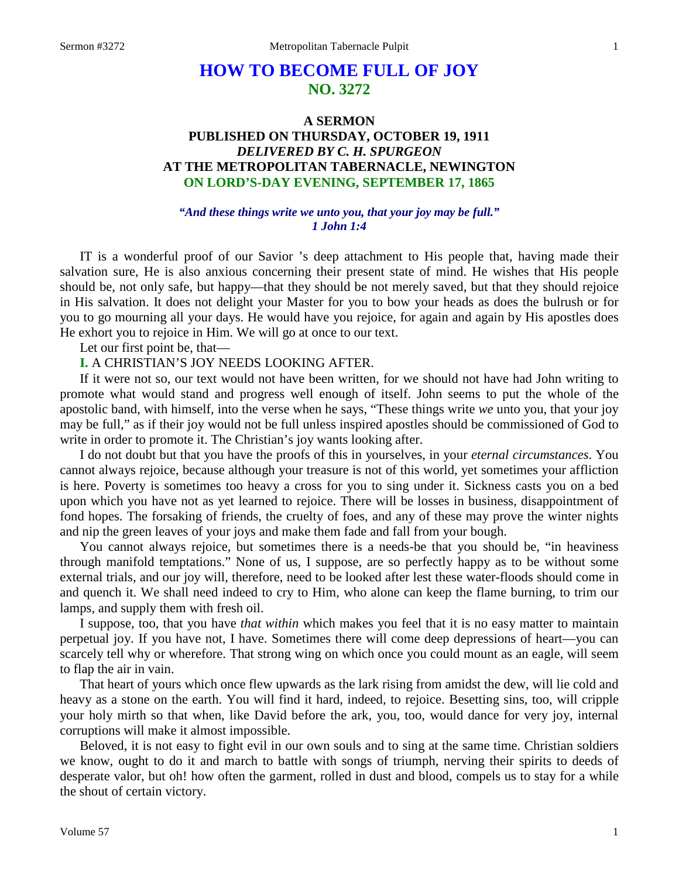# **HOW TO BECOME FULL OF JOY NO. 3272**

## **A SERMON PUBLISHED ON THURSDAY, OCTOBER 19, 1911** *DELIVERED BY C. H. SPURGEON* **AT THE METROPOLITAN TABERNACLE, NEWINGTON ON LORD'S-DAY EVENING, SEPTEMBER 17, 1865**

#### *"And these things write we unto you, that your joy may be full." 1 John 1:4*

IT is a wonderful proof of our Savior 's deep attachment to His people that, having made their salvation sure, He is also anxious concerning their present state of mind. He wishes that His people should be, not only safe, but happy—that they should be not merely saved, but that they should rejoice in His salvation. It does not delight your Master for you to bow your heads as does the bulrush or for you to go mourning all your days. He would have you rejoice, for again and again by His apostles does He exhort you to rejoice in Him. We will go at once to our text.

Let our first point be, that—

**I.** A CHRISTIAN'S JOY NEEDS LOOKING AFTER.

If it were not so, our text would not have been written, for we should not have had John writing to promote what would stand and progress well enough of itself. John seems to put the whole of the apostolic band, with himself, into the verse when he says, "These things write *we* unto you, that your joy may be full," as if their joy would not be full unless inspired apostles should be commissioned of God to write in order to promote it. The Christian's joy wants looking after.

I do not doubt but that you have the proofs of this in yourselves, in your *eternal circumstances*. You cannot always rejoice, because although your treasure is not of this world, yet sometimes your affliction is here. Poverty is sometimes too heavy a cross for you to sing under it. Sickness casts you on a bed upon which you have not as yet learned to rejoice. There will be losses in business, disappointment of fond hopes. The forsaking of friends, the cruelty of foes, and any of these may prove the winter nights and nip the green leaves of your joys and make them fade and fall from your bough.

You cannot always rejoice, but sometimes there is a needs-be that you should be, "in heaviness through manifold temptations." None of us, I suppose, are so perfectly happy as to be without some external trials, and our joy will, therefore, need to be looked after lest these water-floods should come in and quench it. We shall need indeed to cry to Him, who alone can keep the flame burning, to trim our lamps, and supply them with fresh oil.

I suppose, too, that you have *that within* which makes you feel that it is no easy matter to maintain perpetual joy. If you have not, I have. Sometimes there will come deep depressions of heart—you can scarcely tell why or wherefore. That strong wing on which once you could mount as an eagle, will seem to flap the air in vain.

That heart of yours which once flew upwards as the lark rising from amidst the dew, will lie cold and heavy as a stone on the earth. You will find it hard, indeed, to rejoice. Besetting sins, too, will cripple your holy mirth so that when, like David before the ark, you, too, would dance for very joy, internal corruptions will make it almost impossible.

Beloved, it is not easy to fight evil in our own souls and to sing at the same time. Christian soldiers we know, ought to do it and march to battle with songs of triumph, nerving their spirits to deeds of desperate valor, but oh! how often the garment, rolled in dust and blood, compels us to stay for a while the shout of certain victory.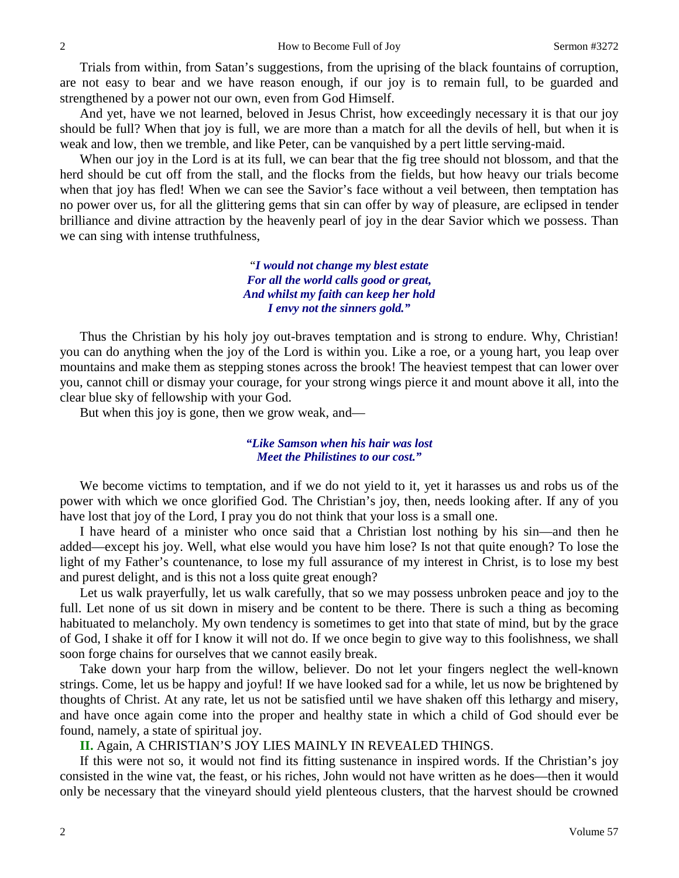Trials from within, from Satan's suggestions, from the uprising of the black fountains of corruption, are not easy to bear and we have reason enough, if our joy is to remain full, to be guarded and strengthened by a power not our own, even from God Himself.

And yet, have we not learned, beloved in Jesus Christ, how exceedingly necessary it is that our joy should be full? When that joy is full, we are more than a match for all the devils of hell, but when it is weak and low, then we tremble, and like Peter, can be vanquished by a pert little serving-maid.

When our joy in the Lord is at its full, we can bear that the fig tree should not blossom, and that the herd should be cut off from the stall, and the flocks from the fields, but how heavy our trials become when that joy has fled! When we can see the Savior's face without a veil between, then temptation has no power over us, for all the glittering gems that sin can offer by way of pleasure, are eclipsed in tender brilliance and divine attraction by the heavenly pearl of joy in the dear Savior which we possess. Than we can sing with intense truthfulness,

> "*I would not change my blest estate For all the world calls good or great, And whilst my faith can keep her hold I envy not the sinners gold."*

Thus the Christian by his holy joy out-braves temptation and is strong to endure. Why, Christian! you can do anything when the joy of the Lord is within you. Like a roe, or a young hart, you leap over mountains and make them as stepping stones across the brook! The heaviest tempest that can lower over you, cannot chill or dismay your courage, for your strong wings pierce it and mount above it all, into the clear blue sky of fellowship with your God.

But when this joy is gone, then we grow weak, and—

## *"Like Samson when his hair was lost Meet the Philistines to our cost."*

We become victims to temptation, and if we do not yield to it, yet it harasses us and robs us of the power with which we once glorified God. The Christian's joy, then, needs looking after. If any of you have lost that joy of the Lord, I pray you do not think that your loss is a small one.

I have heard of a minister who once said that a Christian lost nothing by his sin—and then he added—except his joy. Well, what else would you have him lose? Is not that quite enough? To lose the light of my Father's countenance, to lose my full assurance of my interest in Christ, is to lose my best and purest delight, and is this not a loss quite great enough?

Let us walk prayerfully, let us walk carefully, that so we may possess unbroken peace and joy to the full. Let none of us sit down in misery and be content to be there. There is such a thing as becoming habituated to melancholy. My own tendency is sometimes to get into that state of mind, but by the grace of God, I shake it off for I know it will not do. If we once begin to give way to this foolishness, we shall soon forge chains for ourselves that we cannot easily break.

Take down your harp from the willow, believer. Do not let your fingers neglect the well-known strings. Come, let us be happy and joyful! If we have looked sad for a while, let us now be brightened by thoughts of Christ. At any rate, let us not be satisfied until we have shaken off this lethargy and misery, and have once again come into the proper and healthy state in which a child of God should ever be found, namely, a state of spiritual joy.

**II.** Again, A CHRISTIAN'S JOY LIES MAINLY IN REVEALED THINGS.

If this were not so, it would not find its fitting sustenance in inspired words. If the Christian's joy consisted in the wine vat, the feast, or his riches, John would not have written as he does—then it would only be necessary that the vineyard should yield plenteous clusters, that the harvest should be crowned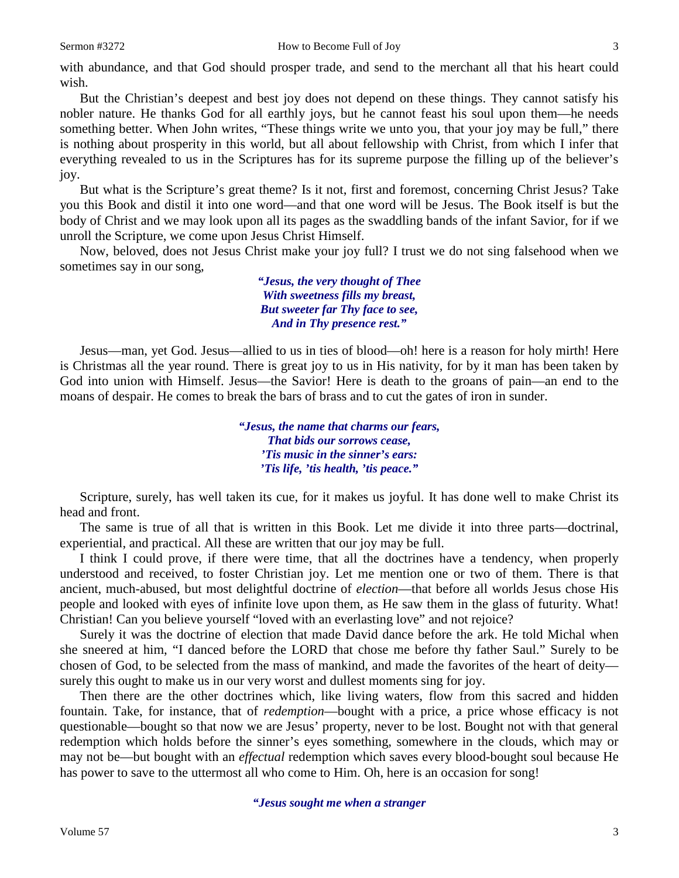with abundance, and that God should prosper trade, and send to the merchant all that his heart could wish.

But the Christian's deepest and best joy does not depend on these things. They cannot satisfy his nobler nature. He thanks God for all earthly joys, but he cannot feast his soul upon them—he needs something better. When John writes, "These things write we unto you, that your joy may be full," there is nothing about prosperity in this world, but all about fellowship with Christ, from which I infer that everything revealed to us in the Scriptures has for its supreme purpose the filling up of the believer's joy.

But what is the Scripture's great theme? Is it not, first and foremost, concerning Christ Jesus? Take you this Book and distil it into one word—and that one word will be Jesus. The Book itself is but the body of Christ and we may look upon all its pages as the swaddling bands of the infant Savior, for if we unroll the Scripture, we come upon Jesus Christ Himself.

Now, beloved, does not Jesus Christ make your joy full? I trust we do not sing falsehood when we sometimes say in our song,

> *"Jesus, the very thought of Thee With sweetness fills my breast, But sweeter far Thy face to see, And in Thy presence rest."*

Jesus—man, yet God. Jesus—allied to us in ties of blood—oh! here is a reason for holy mirth! Here is Christmas all the year round. There is great joy to us in His nativity, for by it man has been taken by God into union with Himself. Jesus—the Savior! Here is death to the groans of pain—an end to the moans of despair. He comes to break the bars of brass and to cut the gates of iron in sunder.

> *"Jesus, the name that charms our fears, That bids our sorrows cease, 'Tis music in the sinner's ears: 'Tis life, 'tis health, 'tis peace."*

Scripture, surely, has well taken its cue, for it makes us joyful. It has done well to make Christ its head and front.

The same is true of all that is written in this Book. Let me divide it into three parts—doctrinal, experiential, and practical. All these are written that our joy may be full.

I think I could prove, if there were time, that all the doctrines have a tendency, when properly understood and received, to foster Christian joy. Let me mention one or two of them. There is that ancient, much-abused, but most delightful doctrine of *election*—that before all worlds Jesus chose His people and looked with eyes of infinite love upon them, as He saw them in the glass of futurity. What! Christian! Can you believe yourself "loved with an everlasting love" and not rejoice?

Surely it was the doctrine of election that made David dance before the ark. He told Michal when she sneered at him, "I danced before the LORD that chose me before thy father Saul." Surely to be chosen of God, to be selected from the mass of mankind, and made the favorites of the heart of deity surely this ought to make us in our very worst and dullest moments sing for joy.

Then there are the other doctrines which, like living waters, flow from this sacred and hidden fountain. Take, for instance, that of *redemption*—bought with a price, a price whose efficacy is not questionable—bought so that now we are Jesus' property, never to be lost. Bought not with that general redemption which holds before the sinner's eyes something, somewhere in the clouds, which may or may not be—but bought with an *effectual* redemption which saves every blood-bought soul because He has power to save to the uttermost all who come to Him. Oh, here is an occasion for song!

*"Jesus sought me when a stranger*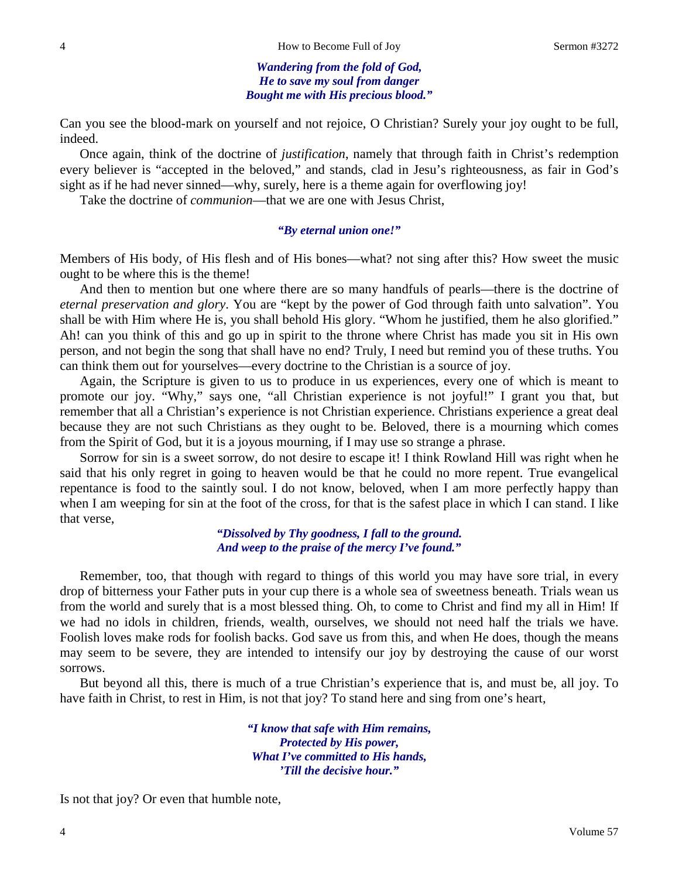*Wandering from the fold of God, He to save my soul from danger Bought me with His precious blood."*

Can you see the blood-mark on yourself and not rejoice, O Christian? Surely your joy ought to be full, indeed.

Once again, think of the doctrine of *justification*, namely that through faith in Christ's redemption every believer is "accepted in the beloved," and stands, clad in Jesu's righteousness, as fair in God's sight as if he had never sinned—why, surely, here is a theme again for overflowing joy!

Take the doctrine of *communion*—that we are one with Jesus Christ,

#### *"By eternal union one!"*

Members of His body, of His flesh and of His bones—what? not sing after this? How sweet the music ought to be where this is the theme!

And then to mention but one where there are so many handfuls of pearls—there is the doctrine of *eternal preservation and glory*. You are "kept by the power of God through faith unto salvation". You shall be with Him where He is, you shall behold His glory. "Whom he justified, them he also glorified." Ah! can you think of this and go up in spirit to the throne where Christ has made you sit in His own person, and not begin the song that shall have no end? Truly, I need but remind you of these truths. You can think them out for yourselves—every doctrine to the Christian is a source of joy.

Again, the Scripture is given to us to produce in us experiences, every one of which is meant to promote our joy. "Why," says one, "all Christian experience is not joyful!" I grant you that, but remember that all a Christian's experience is not Christian experience. Christians experience a great deal because they are not such Christians as they ought to be. Beloved, there is a mourning which comes from the Spirit of God, but it is a joyous mourning, if I may use so strange a phrase.

Sorrow for sin is a sweet sorrow, do not desire to escape it! I think Rowland Hill was right when he said that his only regret in going to heaven would be that he could no more repent. True evangelical repentance is food to the saintly soul. I do not know, beloved, when I am more perfectly happy than when I am weeping for sin at the foot of the cross, for that is the safest place in which I can stand. I like that verse,

> *"Dissolved by Thy goodness, I fall to the ground. And weep to the praise of the mercy I've found."*

Remember, too, that though with regard to things of this world you may have sore trial, in every drop of bitterness your Father puts in your cup there is a whole sea of sweetness beneath. Trials wean us from the world and surely that is a most blessed thing. Oh, to come to Christ and find my all in Him! If we had no idols in children, friends, wealth, ourselves, we should not need half the trials we have. Foolish loves make rods for foolish backs. God save us from this, and when He does, though the means may seem to be severe, they are intended to intensify our joy by destroying the cause of our worst sorrows.

But beyond all this, there is much of a true Christian's experience that is, and must be, all joy. To have faith in Christ, to rest in Him, is not that joy? To stand here and sing from one's heart,

> *"I know that safe with Him remains, Protected by His power, What I've committed to His hands, 'Till the decisive hour."*

Is not that joy? Or even that humble note,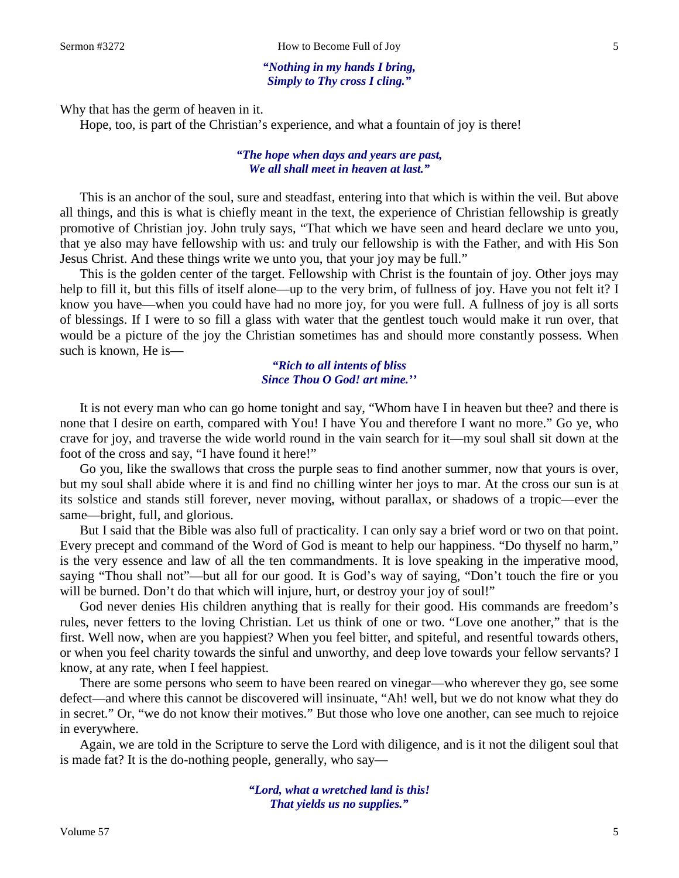*"Nothing in my hands I bring, Simply to Thy cross I cling."*

Why that has the germ of heaven in it.

Hope, too, is part of the Christian's experience, and what a fountain of joy is there!

### *"The hope when days and years are past, We all shall meet in heaven at last."*

This is an anchor of the soul, sure and steadfast, entering into that which is within the veil. But above all things, and this is what is chiefly meant in the text, the experience of Christian fellowship is greatly promotive of Christian joy. John truly says, "That which we have seen and heard declare we unto you, that ye also may have fellowship with us: and truly our fellowship is with the Father, and with His Son Jesus Christ. And these things write we unto you, that your joy may be full."

This is the golden center of the target. Fellowship with Christ is the fountain of joy. Other joys may help to fill it, but this fills of itself alone—up to the very brim, of fullness of joy. Have you not felt it? I know you have—when you could have had no more joy, for you were full. A fullness of joy is all sorts of blessings. If I were to so fill a glass with water that the gentlest touch would make it run over, that would be a picture of the joy the Christian sometimes has and should more constantly possess. When such is known, He is—

## *"Rich to all intents of bliss Since Thou O God! art mine.''*

It is not every man who can go home tonight and say, "Whom have I in heaven but thee? and there is none that I desire on earth, compared with You! I have You and therefore I want no more." Go ye, who crave for joy, and traverse the wide world round in the vain search for it—my soul shall sit down at the foot of the cross and say, "I have found it here!"

Go you, like the swallows that cross the purple seas to find another summer, now that yours is over, but my soul shall abide where it is and find no chilling winter her joys to mar. At the cross our sun is at its solstice and stands still forever, never moving, without parallax, or shadows of a tropic—ever the same—bright, full, and glorious.

But I said that the Bible was also full of practicality. I can only say a brief word or two on that point. Every precept and command of the Word of God is meant to help our happiness. "Do thyself no harm," is the very essence and law of all the ten commandments. It is love speaking in the imperative mood, saying "Thou shall not"—but all for our good. It is God's way of saying, "Don't touch the fire or you will be burned. Don't do that which will injure, hurt, or destroy your joy of soul!"

God never denies His children anything that is really for their good. His commands are freedom's rules, never fetters to the loving Christian. Let us think of one or two. "Love one another," that is the first. Well now, when are you happiest? When you feel bitter, and spiteful, and resentful towards others, or when you feel charity towards the sinful and unworthy, and deep love towards your fellow servants? I know, at any rate, when I feel happiest.

There are some persons who seem to have been reared on vinegar—who wherever they go, see some defect—and where this cannot be discovered will insinuate, "Ah! well, but we do not know what they do in secret." Or, "we do not know their motives." But those who love one another, can see much to rejoice in everywhere.

Again, we are told in the Scripture to serve the Lord with diligence, and is it not the diligent soul that is made fat? It is the do-nothing people, generally, who say—

> *"Lord, what a wretched land is this! That yields us no supplies."*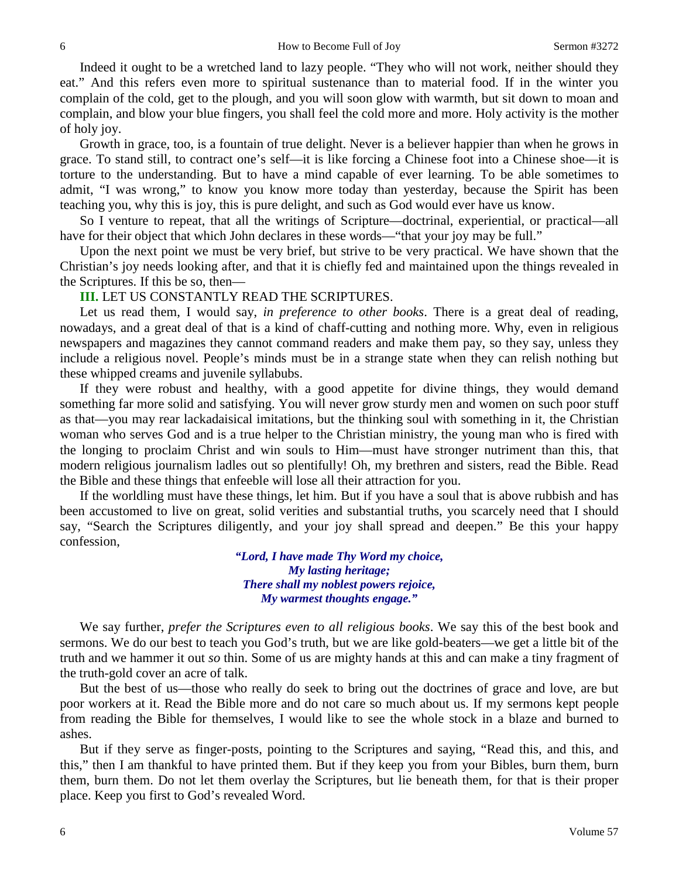Indeed it ought to be a wretched land to lazy people. "They who will not work, neither should they eat." And this refers even more to spiritual sustenance than to material food. If in the winter you complain of the cold, get to the plough, and you will soon glow with warmth, but sit down to moan and complain, and blow your blue fingers, you shall feel the cold more and more. Holy activity is the mother of holy joy.

Growth in grace, too, is a fountain of true delight. Never is a believer happier than when he grows in grace. To stand still, to contract one's self—it is like forcing a Chinese foot into a Chinese shoe—it is torture to the understanding. But to have a mind capable of ever learning. To be able sometimes to admit, "I was wrong," to know you know more today than yesterday, because the Spirit has been teaching you, why this is joy, this is pure delight, and such as God would ever have us know.

So I venture to repeat, that all the writings of Scripture—doctrinal, experiential, or practical—all have for their object that which John declares in these words—"that your joy may be full."

Upon the next point we must be very brief, but strive to be very practical. We have shown that the Christian's joy needs looking after, and that it is chiefly fed and maintained upon the things revealed in the Scriptures. If this be so, then—

### **III.** LET US CONSTANTLY READ THE SCRIPTURES.

Let us read them, I would say, *in preference to other books*. There is a great deal of reading, nowadays, and a great deal of that is a kind of chaff-cutting and nothing more. Why, even in religious newspapers and magazines they cannot command readers and make them pay, so they say, unless they include a religious novel. People's minds must be in a strange state when they can relish nothing but these whipped creams and juvenile syllabubs.

If they were robust and healthy, with a good appetite for divine things, they would demand something far more solid and satisfying. You will never grow sturdy men and women on such poor stuff as that—you may rear lackadaisical imitations, but the thinking soul with something in it, the Christian woman who serves God and is a true helper to the Christian ministry, the young man who is fired with the longing to proclaim Christ and win souls to Him—must have stronger nutriment than this, that modern religious journalism ladles out so plentifully! Oh, my brethren and sisters, read the Bible. Read the Bible and these things that enfeeble will lose all their attraction for you.

If the worldling must have these things, let him. But if you have a soul that is above rubbish and has been accustomed to live on great, solid verities and substantial truths, you scarcely need that I should say, "Search the Scriptures diligently, and your joy shall spread and deepen." Be this your happy confession,

> *"Lord, I have made Thy Word my choice, My lasting heritage; There shall my noblest powers rejoice, My warmest thoughts engage."*

We say further, *prefer the Scriptures even to all religious books*. We say this of the best book and sermons. We do our best to teach you God's truth, but we are like gold-beaters—we get a little bit of the truth and we hammer it out *so* thin. Some of us are mighty hands at this and can make a tiny fragment of the truth-gold cover an acre of talk.

But the best of us—those who really do seek to bring out the doctrines of grace and love, are but poor workers at it. Read the Bible more and do not care so much about us. If my sermons kept people from reading the Bible for themselves, I would like to see the whole stock in a blaze and burned to ashes.

But if they serve as finger-posts, pointing to the Scriptures and saying, "Read this, and this, and this," then I am thankful to have printed them. But if they keep you from your Bibles, burn them, burn them, burn them. Do not let them overlay the Scriptures, but lie beneath them, for that is their proper place. Keep you first to God's revealed Word.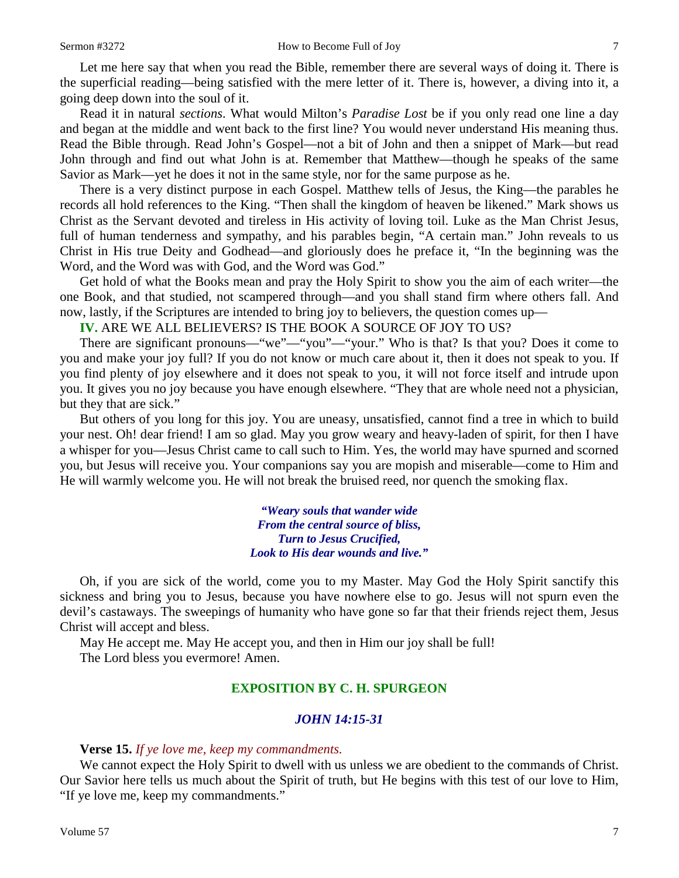Let me here say that when you read the Bible, remember there are several ways of doing it. There is the superficial reading—being satisfied with the mere letter of it. There is, however, a diving into it, a going deep down into the soul of it.

Read it in natural *sections*. What would Milton's *Paradise Lost* be if you only read one line a day and began at the middle and went back to the first line? You would never understand His meaning thus. Read the Bible through. Read John's Gospel—not a bit of John and then a snippet of Mark—but read John through and find out what John is at. Remember that Matthew—though he speaks of the same Savior as Mark—yet he does it not in the same style, nor for the same purpose as he.

There is a very distinct purpose in each Gospel. Matthew tells of Jesus, the King—the parables he records all hold references to the King. "Then shall the kingdom of heaven be likened." Mark shows us Christ as the Servant devoted and tireless in His activity of loving toil. Luke as the Man Christ Jesus, full of human tenderness and sympathy, and his parables begin, "A certain man." John reveals to us Christ in His true Deity and Godhead—and gloriously does he preface it, "In the beginning was the Word, and the Word was with God, and the Word was God."

Get hold of what the Books mean and pray the Holy Spirit to show you the aim of each writer—the one Book, and that studied, not scampered through—and you shall stand firm where others fall. And now, lastly, if the Scriptures are intended to bring joy to believers, the question comes up—

**IV.** ARE WE ALL BELIEVERS? IS THE BOOK A SOURCE OF JOY TO US?

There are significant pronouns—"we"—"you"—"your." Who is that? Is that you? Does it come to you and make your joy full? If you do not know or much care about it, then it does not speak to you. If you find plenty of joy elsewhere and it does not speak to you, it will not force itself and intrude upon you. It gives you no joy because you have enough elsewhere. "They that are whole need not a physician, but they that are sick."

But others of you long for this joy. You are uneasy, unsatisfied, cannot find a tree in which to build your nest. Oh! dear friend! I am so glad. May you grow weary and heavy-laden of spirit, for then I have a whisper for you—Jesus Christ came to call such to Him. Yes, the world may have spurned and scorned you, but Jesus will receive you. Your companions say you are mopish and miserable—come to Him and He will warmly welcome you. He will not break the bruised reed, nor quench the smoking flax.

> *"Weary souls that wander wide From the central source of bliss, Turn to Jesus Crucified, Look to His dear wounds and live."*

Oh, if you are sick of the world, come you to my Master. May God the Holy Spirit sanctify this sickness and bring you to Jesus, because you have nowhere else to go. Jesus will not spurn even the devil's castaways. The sweepings of humanity who have gone so far that their friends reject them, Jesus Christ will accept and bless.

May He accept me. May He accept you, and then in Him our joy shall be full! The Lord bless you evermore! Amen.

## **EXPOSITION BY C. H. SPURGEON**

## *JOHN 14:15-31*

## **Verse 15.** *If ye love me, keep my commandments.*

We cannot expect the Holy Spirit to dwell with us unless we are obedient to the commands of Christ. Our Savior here tells us much about the Spirit of truth, but He begins with this test of our love to Him, "If ye love me, keep my commandments."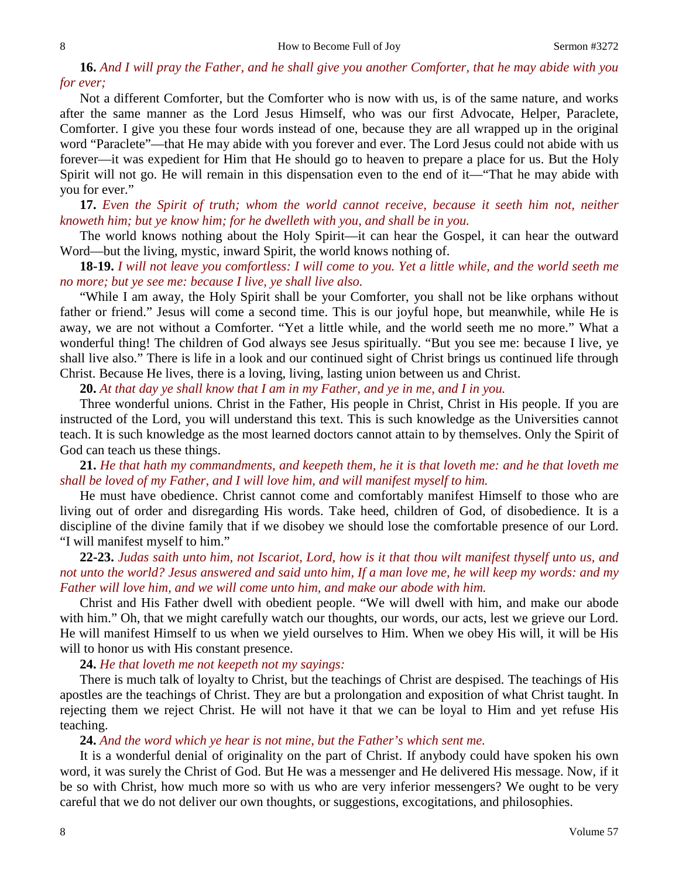**16.** *And I will pray the Father, and he shall give you another Comforter, that he may abide with you for ever;*

Not a different Comforter, but the Comforter who is now with us, is of the same nature, and works after the same manner as the Lord Jesus Himself, who was our first Advocate, Helper, Paraclete, Comforter. I give you these four words instead of one, because they are all wrapped up in the original word "Paraclete"—that He may abide with you forever and ever. The Lord Jesus could not abide with us forever—it was expedient for Him that He should go to heaven to prepare a place for us. But the Holy Spirit will not go. He will remain in this dispensation even to the end of it—"That he may abide with you for ever."

**17.** *Even the Spirit of truth; whom the world cannot receive, because it seeth him not, neither knoweth him; but ye know him; for he dwelleth with you, and shall be in you.* 

The world knows nothing about the Holy Spirit—it can hear the Gospel, it can hear the outward Word—but the living, mystic, inward Spirit, the world knows nothing of.

**18-19.** *I will not leave you comfortless: I will come to you. Yet a little while, and the world seeth me no more; but ye see me: because I live, ye shall live also.*

"While I am away, the Holy Spirit shall be your Comforter, you shall not be like orphans without father or friend." Jesus will come a second time. This is our joyful hope, but meanwhile, while He is away, we are not without a Comforter. "Yet a little while, and the world seeth me no more." What a wonderful thing! The children of God always see Jesus spiritually. "But you see me: because I live, ye shall live also." There is life in a look and our continued sight of Christ brings us continued life through Christ. Because He lives, there is a loving, living, lasting union between us and Christ.

**20.** *At that day ye shall know that I am in my Father, and ye in me, and I in you.* 

Three wonderful unions. Christ in the Father, His people in Christ, Christ in His people. If you are instructed of the Lord, you will understand this text. This is such knowledge as the Universities cannot teach. It is such knowledge as the most learned doctors cannot attain to by themselves. Only the Spirit of God can teach us these things.

**21.** *He that hath my commandments, and keepeth them, he it is that loveth me: and he that loveth me shall be loved of my Father, and I will love him, and will manifest myself to him.*

He must have obedience. Christ cannot come and comfortably manifest Himself to those who are living out of order and disregarding His words. Take heed, children of God, of disobedience. It is a discipline of the divine family that if we disobey we should lose the comfortable presence of our Lord. "I will manifest myself to him."

**22-23.** *Judas saith unto him, not Iscariot, Lord, how is it that thou wilt manifest thyself unto us, and not unto the world? Jesus answered and said unto him, If a man love me, he will keep my words: and my Father will love him, and we will come unto him, and make our abode with him.*

Christ and His Father dwell with obedient people. "We will dwell with him, and make our abode with him." Oh, that we might carefully watch our thoughts, our words, our acts, lest we grieve our Lord. He will manifest Himself to us when we yield ourselves to Him. When we obey His will, it will be His will to honor us with His constant presence.

**24.** *He that loveth me not keepeth not my sayings:*

There is much talk of loyalty to Christ, but the teachings of Christ are despised. The teachings of His apostles are the teachings of Christ. They are but a prolongation and exposition of what Christ taught. In rejecting them we reject Christ. He will not have it that we can be loyal to Him and yet refuse His teaching.

#### **24.** *And the word which ye hear is not mine, but the Father's which sent me.*

It is a wonderful denial of originality on the part of Christ. If anybody could have spoken his own word, it was surely the Christ of God. But He was a messenger and He delivered His message. Now, if it be so with Christ, how much more so with us who are very inferior messengers? We ought to be very careful that we do not deliver our own thoughts, or suggestions, excogitations, and philosophies.